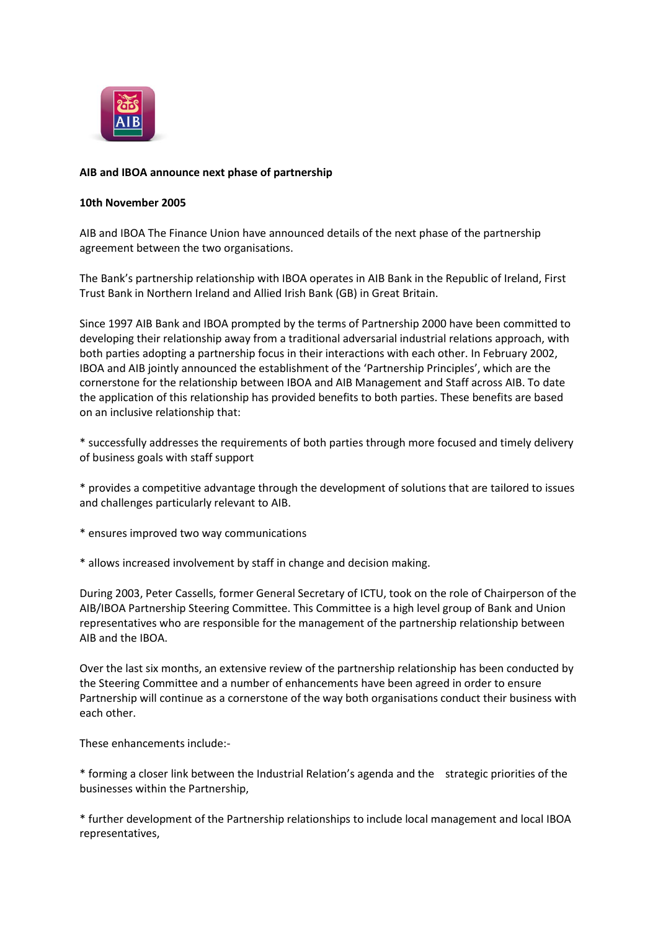

## **AIB and IBOA announce next phase of partnership**

## **10th November 2005**

AIB and IBOA The Finance Union have announced details of the next phase of the partnership agreement between the two organisations.

The Bank's partnership relationship with IBOA operates in AIB Bank in the Republic of Ireland, First Trust Bank in Northern Ireland and Allied Irish Bank (GB) in Great Britain.

Since 1997 AIB Bank and IBOA prompted by the terms of Partnership 2000 have been committed to developing their relationship away from a traditional adversarial industrial relations approach, with both parties adopting a partnership focus in their interactions with each other. In February 2002, IBOA and AIB jointly announced the establishment of the 'Partnership Principles', which are the cornerstone for the relationship between IBOA and AIB Management and Staff across AIB. To date the application of this relationship has provided benefits to both parties. These benefits are based on an inclusive relationship that:

\* successfully addresses the requirements of both parties through more focused and timely delivery of business goals with staff support

\* provides a competitive advantage through the development of solutions that are tailored to issues and challenges particularly relevant to AIB.

- \* ensures improved two way communications
- \* allows increased involvement by staff in change and decision making.

During 2003, Peter Cassells, former General Secretary of ICTU, took on the role of Chairperson of the AIB/IBOA Partnership Steering Committee. This Committee is a high level group of Bank and Union representatives who are responsible for the management of the partnership relationship between AIB and the IBOA.

Over the last six months, an extensive review of the partnership relationship has been conducted by the Steering Committee and a number of enhancements have been agreed in order to ensure Partnership will continue as a cornerstone of the way both organisations conduct their business with each other.

These enhancements include:-

\* forming a closer link between the Industrial Relation's agenda and the strategic priorities of the businesses within the Partnership,

\* further development of the Partnership relationships to include local management and local IBOA representatives,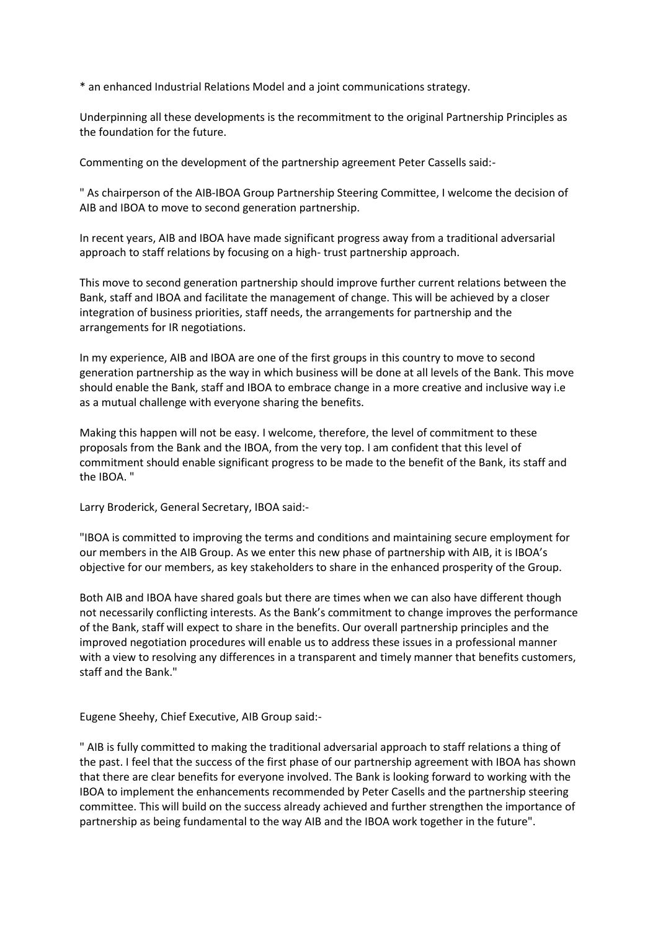\* an enhanced Industrial Relations Model and a joint communications strategy.

Underpinning all these developments is the recommitment to the original Partnership Principles as the foundation for the future.

Commenting on the development of the partnership agreement Peter Cassells said:-

" As chairperson of the AIB-IBOA Group Partnership Steering Committee, I welcome the decision of AIB and IBOA to move to second generation partnership.

In recent years, AIB and IBOA have made significant progress away from a traditional adversarial approach to staff relations by focusing on a high- trust partnership approach.

This move to second generation partnership should improve further current relations between the Bank, staff and IBOA and facilitate the management of change. This will be achieved by a closer integration of business priorities, staff needs, the arrangements for partnership and the arrangements for IR negotiations.

In my experience, AIB and IBOA are one of the first groups in this country to move to second generation partnership as the way in which business will be done at all levels of the Bank. This move should enable the Bank, staff and IBOA to embrace change in a more creative and inclusive way i.e as a mutual challenge with everyone sharing the benefits.

Making this happen will not be easy. I welcome, therefore, the level of commitment to these proposals from the Bank and the IBOA, from the very top. I am confident that this level of commitment should enable significant progress to be made to the benefit of the Bank, its staff and the IBOA. "

Larry Broderick, General Secretary, IBOA said:-

"IBOA is committed to improving the terms and conditions and maintaining secure employment for our members in the AIB Group. As we enter this new phase of partnership with AIB, it is IBOA's objective for our members, as key stakeholders to share in the enhanced prosperity of the Group.

Both AIB and IBOA have shared goals but there are times when we can also have different though not necessarily conflicting interests. As the Bank's commitment to change improves the performance of the Bank, staff will expect to share in the benefits. Our overall partnership principles and the improved negotiation procedures will enable us to address these issues in a professional manner with a view to resolving any differences in a transparent and timely manner that benefits customers, staff and the Bank."

Eugene Sheehy, Chief Executive, AIB Group said:-

" AIB is fully committed to making the traditional adversarial approach to staff relations a thing of the past. I feel that the success of the first phase of our partnership agreement with IBOA has shown that there are clear benefits for everyone involved. The Bank is looking forward to working with the IBOA to implement the enhancements recommended by Peter Casells and the partnership steering committee. This will build on the success already achieved and further strengthen the importance of partnership as being fundamental to the way AIB and the IBOA work together in the future".